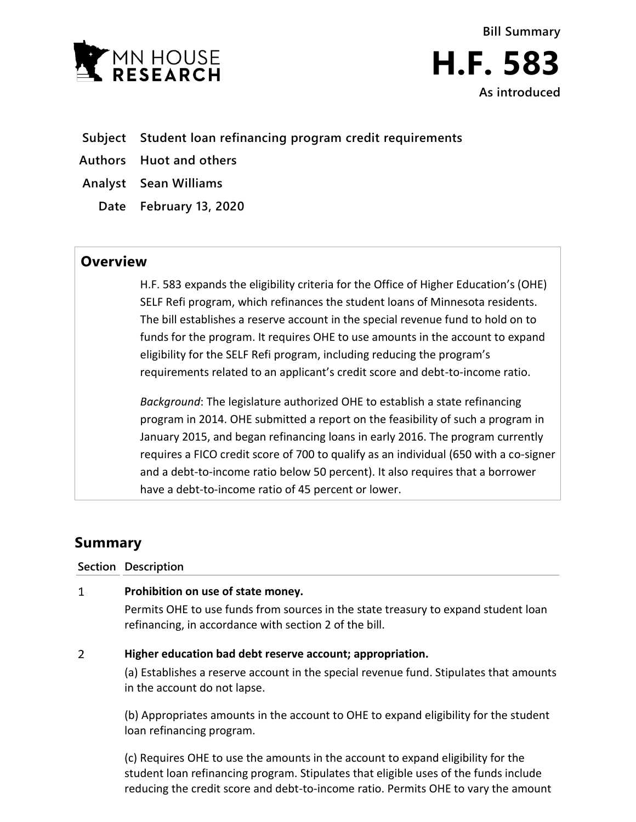



- **Subject Student loan refinancing program credit requirements**
- **Authors Huot and others**
- **Analyst Sean Williams**
	- **Date February 13, 2020**

## **Overview**

H.F. 583 expands the eligibility criteria for the Office of Higher Education's (OHE) SELF Refi program, which refinances the student loans of Minnesota residents. The bill establishes a reserve account in the special revenue fund to hold on to funds for the program. It requires OHE to use amounts in the account to expand eligibility for the SELF Refi program, including reducing the program's requirements related to an applicant's credit score and debt-to-income ratio.

*Background*: The legislature authorized OHE to establish a state refinancing program in 2014. OHE submitted a report on the feasibility of such a program in January 2015, and began refinancing loans in early 2016. The program currently requires a FICO credit score of 700 to qualify as an individual (650 with a co-signer and a debt-to-income ratio below 50 percent). It also requires that a borrower have a debt-to-income ratio of 45 percent or lower.

# **Summary**

### **Section Description**

#### $\mathbf{1}$ **Prohibition on use of state money.**

Permits OHE to use funds from sources in the state treasury to expand student loan refinancing, in accordance with section 2 of the bill.

#### $\overline{2}$ **Higher education bad debt reserve account; appropriation.**

(a) Establishes a reserve account in the special revenue fund. Stipulates that amounts in the account do not lapse.

(b) Appropriates amounts in the account to OHE to expand eligibility for the student loan refinancing program.

(c) Requires OHE to use the amounts in the account to expand eligibility for the student loan refinancing program. Stipulates that eligible uses of the funds include reducing the credit score and debt-to-income ratio. Permits OHE to vary the amount